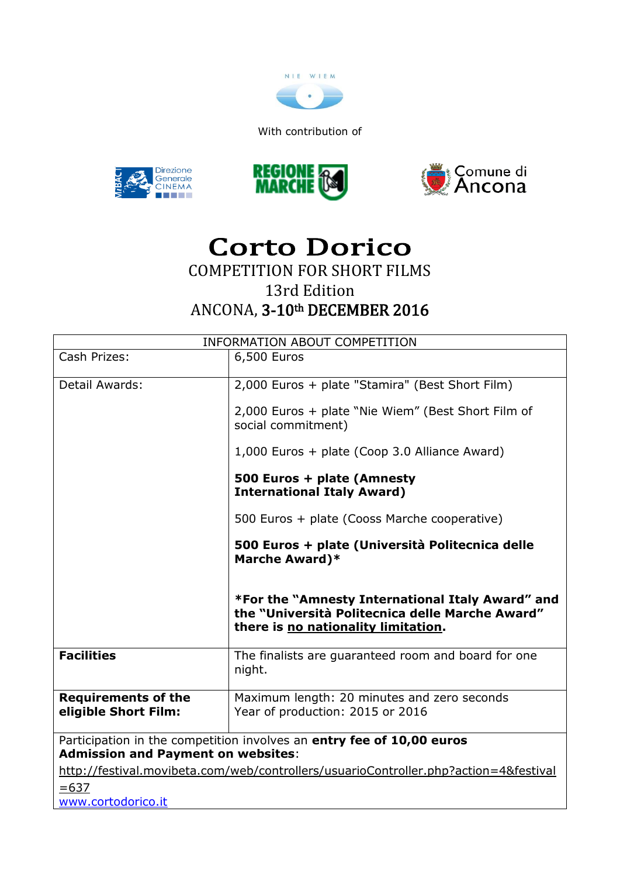

With contribution of







# Corto Dorico COMPETITION FOR SHORT FILMS 13rd Edition ANCONA, 3-10th DECEMBER 2016

| <b>INFORMATION ABOUT COMPETITION</b>                                                 |                                                                                                                                            |
|--------------------------------------------------------------------------------------|--------------------------------------------------------------------------------------------------------------------------------------------|
| Cash Prizes:                                                                         | 6,500 Euros                                                                                                                                |
|                                                                                      |                                                                                                                                            |
| Detail Awards:                                                                       | 2,000 Euros + plate "Stamira" (Best Short Film)                                                                                            |
|                                                                                      | 2,000 Euros + plate "Nie Wiem" (Best Short Film of<br>social commitment)                                                                   |
|                                                                                      | 1,000 Euros + plate (Coop 3.0 Alliance Award)                                                                                              |
|                                                                                      | 500 Euros + plate (Amnesty<br><b>International Italy Award)</b>                                                                            |
|                                                                                      | 500 Euros + plate (Cooss Marche cooperative)                                                                                               |
|                                                                                      | 500 Euros + plate (Università Politecnica delle<br><b>Marche Award)*</b>                                                                   |
|                                                                                      | *For the "Amnesty International Italy Award" and<br>the "Università Politecnica delle Marche Award"<br>there is no nationality limitation. |
| <b>Facilities</b>                                                                    | The finalists are guaranteed room and board for one<br>night.                                                                              |
| <b>Requirements of the</b><br>eligible Short Film:                                   | Maximum length: 20 minutes and zero seconds<br>Year of production: 2015 or 2016                                                            |
| Participation in the competition involves an entry fee of 10,00 euros                |                                                                                                                                            |
| <b>Admission and Payment on websites:</b>                                            |                                                                                                                                            |
| http://festival.movibeta.com/web/controllers/usuarioController.php?action=4&festival |                                                                                                                                            |
| $= 637$                                                                              |                                                                                                                                            |
| www.cortodorico.it                                                                   |                                                                                                                                            |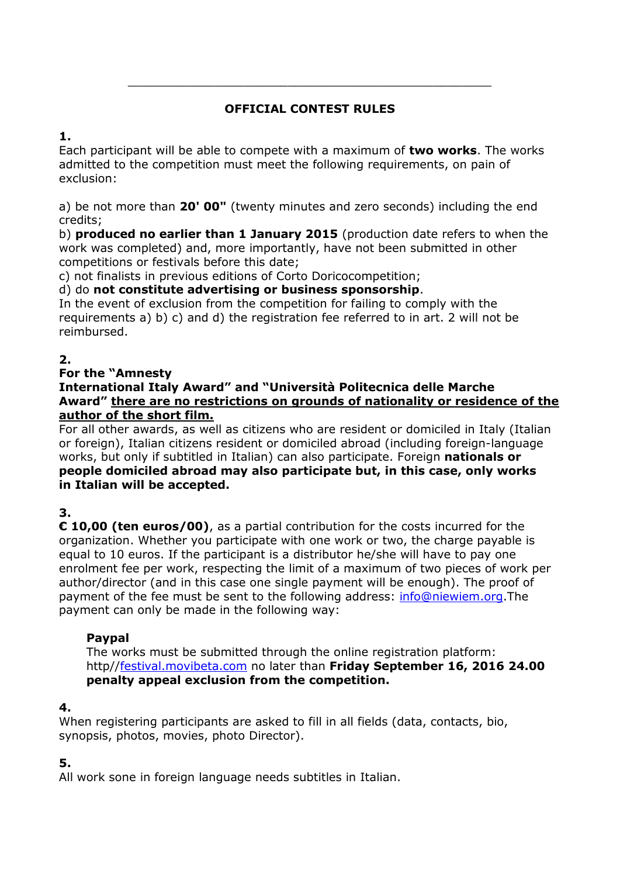# **OFFICIAL CONTEST RULES**

\_\_\_\_\_\_\_\_\_\_\_\_\_\_\_\_\_\_\_\_\_\_\_\_\_\_\_\_\_\_\_\_\_\_\_\_\_\_\_\_\_\_\_\_\_\_\_\_\_\_

**1.**

Each participant will be able to compete with a maximum of **two works**. The works admitted to the competition must meet the following requirements, on pain of exclusion:

a) be not more than **20' 00"** (twenty minutes and zero seconds) including the end credits;

b) **produced no earlier than 1 January 2015** (production date refers to when the work was completed) and, more importantly, have not been submitted in other competitions or festivals before this date;

c) not finalists in previous editions of Corto Doricocompetition;

d) do **not constitute advertising or business sponsorship**.

In the event of exclusion from the competition for failing to comply with the requirements a) b) c) and d) the registration fee referred to in art. 2 will not be reimbursed.

# **2.**

### **For the "Amnesty**

**International Italy Award" and "Università Politecnica delle Marche Award" there are no restrictions on grounds of nationality or residence of the author of the short film.**

For all other awards, as well as citizens who are resident or domiciled in Italy (Italian or foreign), Italian citizens resident or domiciled abroad (including foreign-language works, but only if subtitled in Italian) can also participate. Foreign **nationals or people domiciled abroad may also participate but, in this case, only works in Italian will be accepted.**

# **3.**

**€ 10,00 (ten euros/00)**, as a partial contribution for the costs incurred for the organization. Whether you participate with one work or two, the charge payable is equal to 10 euros. If the participant is a distributor he/she will have to pay one enrolment fee per work, respecting the limit of a maximum of two pieces of work per author/director (and in this case one single payment will be enough). The proof of payment of the fee must be sent to the following address: [info@niewiem.org.](mailto:info@niewiem.org)The payment can only be made in the following way:

### **Paypal**

The works must be submitted through the online registration platform: http/[/festival.movibeta.com](https://ssl.microsofttranslator.com/bv.aspx?from=&to=en&a=festival.movibeta.com) no later than **Friday September 16, 2016 24.00 penalty appeal exclusion from the competition.**

### **4.**

When registering participants are asked to fill in all fields (data, contacts, bio, synopsis, photos, movies, photo Director).

### **5.**

All work sone in foreign language needs subtitles in Italian.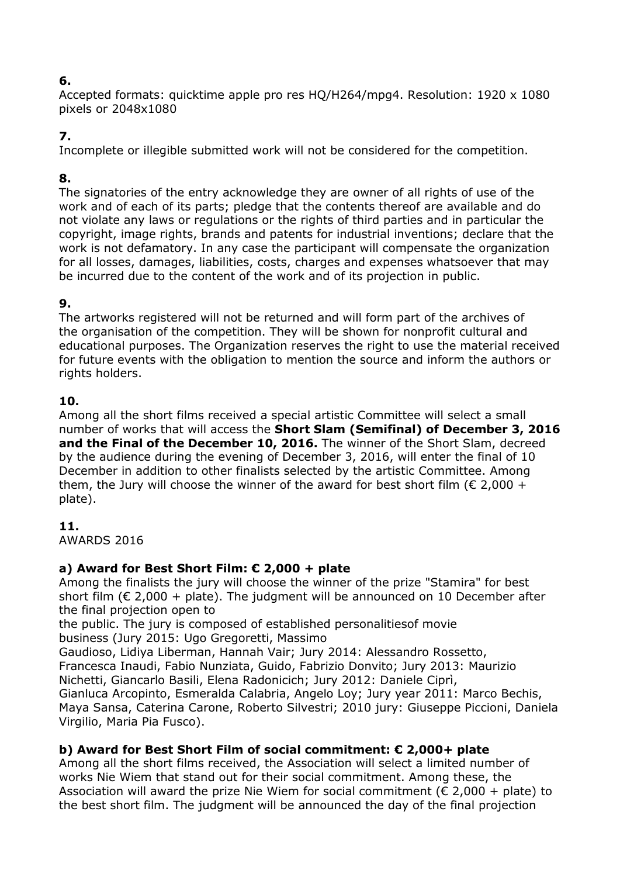### **6.**

Accepted formats: quicktime apple pro res HQ/H264/mpg4. Resolution: 1920 x 1080 pixels or 2048x1080

### **7.**

Incomplete or illegible submitted work will not be considered for the competition.

# **8.**

The signatories of the entry acknowledge they are owner of all rights of use of the work and of each of its parts; pledge that the contents thereof are available and do not violate any laws or regulations or the rights of third parties and in particular the copyright, image rights, brands and patents for industrial inventions; declare that the work is not defamatory. In any case the participant will compensate the organization for all losses, damages, liabilities, costs, charges and expenses whatsoever that may be incurred due to the content of the work and of its projection in public.

### **9.**

The artworks registered will not be returned and will form part of the archives of the organisation of the competition. They will be shown for nonprofit cultural and educational purposes. The Organization reserves the right to use the material received for future events with the obligation to mention the source and inform the authors or rights holders.

### **10.**

Among all the short films received a special artistic Committee will select a small number of works that will access the **Short Slam (Semifinal) of December 3, 2016 and the Final of the December 10, 2016.** The winner of the Short Slam, decreed by the audience during the evening of December 3, 2016, will enter the final of 10 December in addition to other finalists selected by the artistic Committee. Among them, the Jury will choose the winner of the award for best short film ( $\epsilon$  2,000 + plate).

### **11.**

AWARDS 2016

### **a) Award for Best Short Film: € 2,000 + plate**

Among the finalists the jury will choose the winner of the prize "Stamira" for best short film ( $\epsilon$  2,000 + plate). The judgment will be announced on 10 December after the final projection open to

the public. The jury is composed of established personalitiesof movie business (Jury 2015: Ugo Gregoretti, Massimo

Gaudioso, Lidiya Liberman, Hannah Vair; Jury 2014: Alessandro Rossetto, Francesca Inaudi, Fabio Nunziata, Guido, Fabrizio Donvito; Jury 2013: Maurizio Nichetti, Giancarlo Basili, Elena Radonicich; Jury 2012: Daniele Ciprì,

Gianluca Arcopinto, Esmeralda Calabria, Angelo Loy; Jury year 2011: Marco Bechis, Maya Sansa, Caterina Carone, Roberto Silvestri; 2010 jury: Giuseppe Piccioni, Daniela Virgilio, Maria Pia Fusco).

### **b) Award for Best Short Film of social commitment: € 2,000+ plate**

Among all the short films received, the Association will select a limited number of works Nie Wiem that stand out for their social commitment. Among these, the Association will award the prize Nie Wiem for social commitment ( $\epsilon$  2,000 + plate) to the best short film. The judgment will be announced the day of the final projection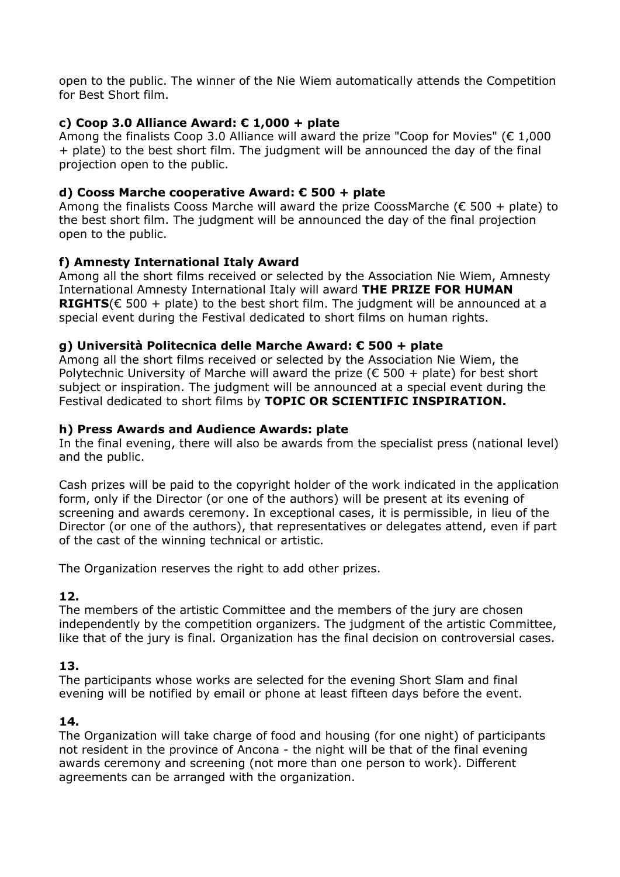open to the public. The winner of the Nie Wiem automatically attends the Competition for Best Short film.

### **c) Coop 3.0 Alliance Award: € 1,000 + plate**

Among the finalists Coop 3.0 Alliance will award the prize "Coop for Movies" ( $\epsilon$  1.000 + plate) to the best short film. The judgment will be announced the day of the final projection open to the public.

#### **d) Cooss Marche cooperative Award: € 500 + plate**

Among the finalists Cooss Marche will award the prize CoossMarche ( $\epsilon$  500 + plate) to the best short film. The judgment will be announced the day of the final projection open to the public.

#### **f) Amnesty International Italy Award**

Among all the short films received or selected by the Association Nie Wiem, Amnesty International Amnesty International Italy will award **THE PRIZE FOR HUMAN RIGHTS**( $\epsilon$  500 + plate) to the best short film. The judgment will be announced at a special event during the Festival dedicated to short films on human rights.

#### **g) Università Politecnica delle Marche Award: € 500 + plate**

Among all the short films received or selected by the Association Nie Wiem, the Polytechnic University of Marche will award the prize ( $\epsilon$  500 + plate) for best short subject or inspiration. The judgment will be announced at a special event during the Festival dedicated to short films by **TOPIC OR SCIENTIFIC INSPIRATION.**

#### **h) Press Awards and Audience Awards: plate**

In the final evening, there will also be awards from the specialist press (national level) and the public.

Cash prizes will be paid to the copyright holder of the work indicated in the application form, only if the Director (or one of the authors) will be present at its evening of screening and awards ceremony. In exceptional cases, it is permissible, in lieu of the Director (or one of the authors), that representatives or delegates attend, even if part of the cast of the winning technical or artistic.

The Organization reserves the right to add other prizes.

#### **12.**

The members of the artistic Committee and the members of the jury are chosen independently by the competition organizers. The judgment of the artistic Committee, like that of the jury is final. Organization has the final decision on controversial cases.

#### **13.**

The participants whose works are selected for the evening Short Slam and final evening will be notified by email or phone at least fifteen days before the event.

#### **14.**

The Organization will take charge of food and housing (for one night) of participants not resident in the province of Ancona - the night will be that of the final evening awards ceremony and screening (not more than one person to work). Different agreements can be arranged with the organization.